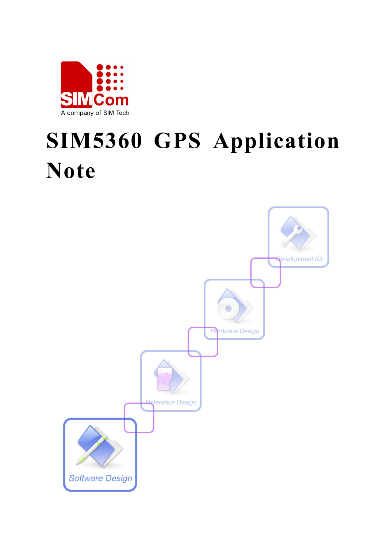

# **SIM5360 GPS Application Note**

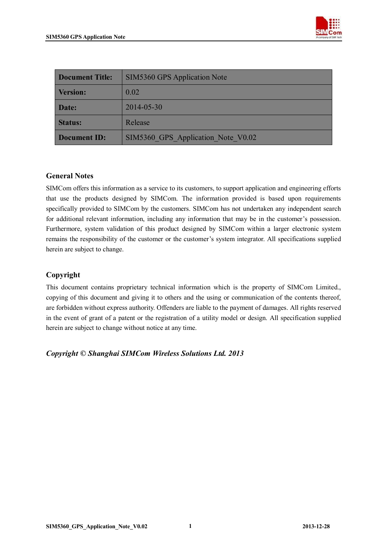

| <b>Document Title:</b> | <b>SIM5360 GPS Application Note</b> |
|------------------------|-------------------------------------|
| <b>Version:</b>        | 0.02                                |
| Date:                  | 2014-05-30                          |
| <b>Status:</b>         | Release                             |
| <b>Document ID:</b>    | SIM5360 GPS Application Note V0.02  |

### **General Notes**

SIMCom offers this information as a service to its customers, to support application and engineering efforts that use the products designed by SIMCom. The information provided is based upon requirements specifically provided to SIMCom by the customers. SIMCom has not undertaken any independent search for additional relevant information, including any information that may be in the customer's possession. Furthermore, system validation of this product designed by SIMCom within a larger electronic system remains the responsibility of the customer or the customer's system integrator. All specifications supplied herein are subject to change.

### **Copyright**

This document contains proprietary technical information which is the property of SIMCom Limited., copying of this document and giving it to others and the using or communication of the contents thereof, are forbidden without express authority. Offenders are liable to the payment of damages. All rights reserved in the event of grant of a patent or the registration of a utility model or design. All specification supplied herein are subject to change without notice at any time.

*Copyright © Shanghai SIMCom Wireless Solutions Ltd. 2013*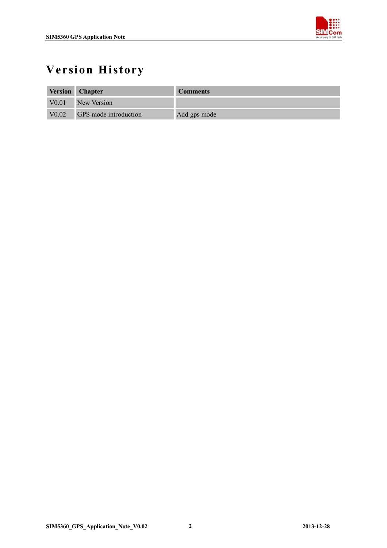

## **Version History**

|                   | <b>Version Chapter</b> | <b>Comments</b> |
|-------------------|------------------------|-----------------|
| V <sub>0.01</sub> | New Version            |                 |
| VO.02             | GPS mode introduction  | Add gps mode    |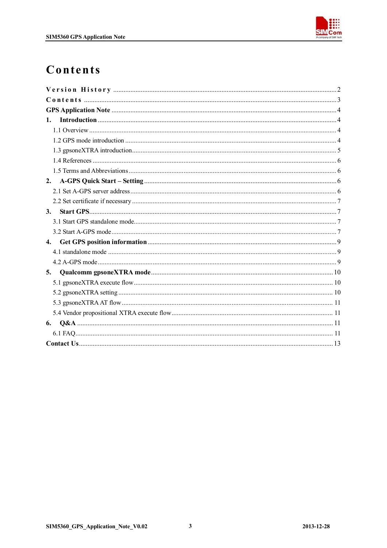

## Contents

| 1. |  |
|----|--|
|    |  |
|    |  |
|    |  |
|    |  |
|    |  |
| 2. |  |
|    |  |
|    |  |
| 3. |  |
|    |  |
|    |  |
|    |  |
|    |  |
|    |  |
| 5. |  |
|    |  |
|    |  |
|    |  |
|    |  |
| 6. |  |
|    |  |
|    |  |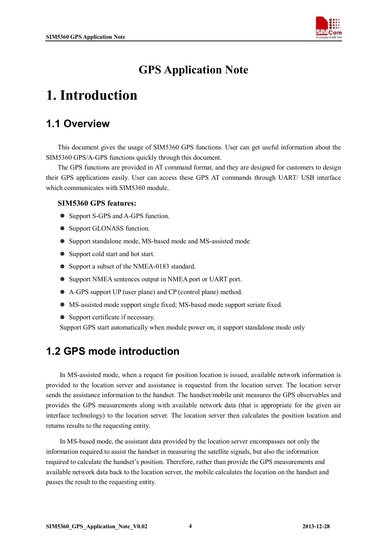

## **GPS Application Note**

## **1. Introduction**

## **1.1 Overview**

This document gives the usage of SIM5360 GPS functions. User can get useful information about the SIM5360 GPS/A-GPS functions quickly through this document.

The GPS functions are provided in AT command format, and they are designed for customers to design their GPS applications easily. User can access these GPS AT commands through UART/ USB interface which communicates with SIM5360 module.

### **SIM5360 GPS features:**

- Support S-GPS and A-GPS function.
- Support GLONASS function.
- Support standalone mode, MS-based mode and MS-assisted mode
- Support cold start and hot start.
- Support a subset of the NMEA-0183 standard.
- Support NMEA sentences output in NMEA port or UART port.
- A-GPS support UP (user plane) and CP (control plane) method.
- MS-assisted mode support single fixed; MS-based mode support seriate fixed.
- Support certificate if necessary.

Support GPS start automatically when module power on, it support standalone mode only

### **1.2 GPS mode introduction**

In MS-assisted mode, when a request for position location is issued, available network information is provided to the location server and assistance is requested from the location server. The location server sends the assistance information to the handset. The handset/mobile unit measures the GPS observables and provides the GPS measurements along with available network data (that is appropriate for the given air interface technology) to the location server. The location server then calculates the position location and returns results to the requesting entity.

In MS-based mode, the assistant data provided by the location server encompasses not only the information required to assist the handset in measuring the satellite signals, but also the information required to calculate the handset's position. Therefore, rather than provide the GPS measurements and available network data back to the location server, the mobile calculates the location on the handset and passes the result to the requesting entity.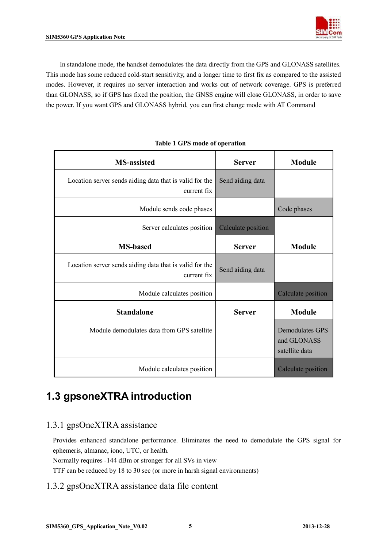

In standalone mode, the handset demodulates the data directly from the GPS and GLONASS satellites. This mode has some reduced cold-start sensitivity, and a longer time to first fix as compared to the assisted modes. However, it requires no server interaction and works out of network coverage. GPS is preferred than GLONASS, so if GPS has fixed the position, the GNSS engine will close GLONASS, in order to save the power. If you want GPS and GLONASS hybrid, you can first change mode with AT Command

| <b>MS-assisted</b>                                                     | <b>Server</b>      | <b>Module</b>                                           |
|------------------------------------------------------------------------|--------------------|---------------------------------------------------------|
| Location server sends aiding data that is valid for the<br>current fix | Send aiding data   |                                                         |
| Module sends code phases                                               |                    | Code phases                                             |
| Server calculates position                                             | Calculate position |                                                         |
| <b>MS-based</b>                                                        | <b>Server</b>      | <b>Module</b>                                           |
| Location server sends aiding data that is valid for the<br>current fix | Send aiding data   |                                                         |
| Module calculates position                                             |                    | Calculate position                                      |
| <b>Standalone</b>                                                      | <b>Server</b>      | <b>Module</b>                                           |
| Module demodulates data from GPS satellite                             |                    | <b>Demodulates GPS</b><br>and GLONASS<br>satellite data |
| Module calculates position                                             |                    | Calculate position                                      |

### **Table 1 GPS mode of operation**

## **1.3 gpsoneXTRA introduction**

### 1.3.1 gpsOneXTRA assistance

Provides enhanced standalone performance. Eliminates the need to demodulate the GPS signal for ephemeris, almanac, iono, UTC, or health.

Normally requires -144 dBm or stronger for all SVs in view

TTF can be reduced by 18 to 30 sec (or more in harsh signal environments)

### 1.3.2 gpsOneXTRA assistance data file content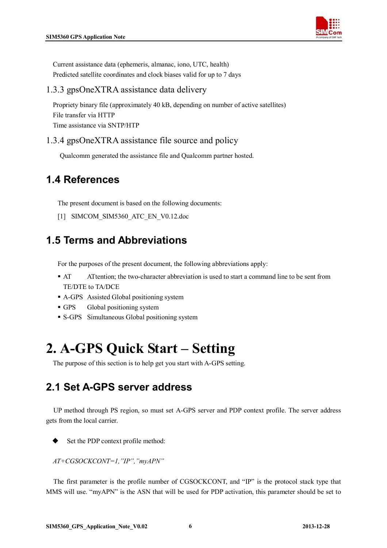

Current assistance data (ephemeris, almanac, iono, UTC, health) Predicted satellite coordinates and clock biases valid for up to 7 days

### 1.3.3 gpsOneXTRA assistance data delivery

Propriety binary file (approximately 40 kB, depending on number of active satellites) File transfer via HTTP Time assistance via SNTP/HTP

### 1.3.4 gpsOneXTRA assistance file source and policy

Qualcomm generated the assistance file and Qualcomm partner hosted.

## **1.4 References**

The present document is based on the following documents:

[1] SIMCOM\_SIM5360\_ATC\_EN\_V0.12.doc

## **1.5 Terms and Abbreviations**

For the purposes of the present document, the following abbreviations apply:

- AT ATtention; the two-character abbreviation is used to start a command line to be sent from TE/DTE to TA/DCE
- A-GPS Assisted Global positioning system
- GPS Global positioning system
- S-GPS Simultaneous Global positioning system

## **2. A-GPS Quick Start – Setting**

The purpose of this section is to help get you start with A-GPS setting.

### **2.1 Set A-GPS server address**

UP method through PS region, so must set A-GPS server and PDP context profile. The server address gets from the local carrier.

Set the PDP context profile method:

*AT+CGSOCKCONT=1,"IP","myAPN"*

The first parameter is the profile number of CGSOCKCONT, and "IP" is the protocol stack type that MMS will use. "myAPN" is the ASN that will be used for PDP activation, this parameter should be set to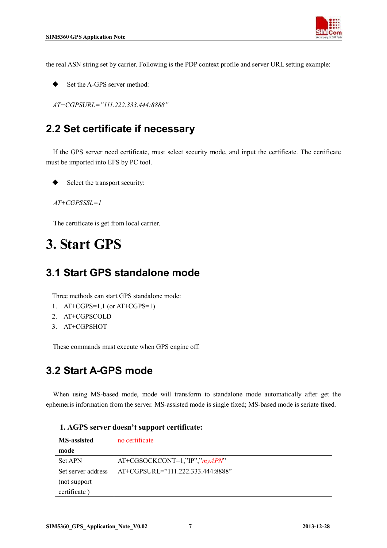

the real ASN string set by carrier. Following is the PDP context profile and server URL setting example:

Set the A-GPS server method:

*AT+CGPSURL="111.222.333.444:8888"*

## **2.2 Set certificate if necessary**

If the GPS server need certificate, must select security mode, and input the certificate. The certificate must be imported into EFS by PC tool.

Select the transport security:

*AT+CGPSSSL=1*

The certificate is get from local carrier.

## **3. Start GPS**

### **3.1 Start GPS standalone mode**

Three methods can start GPS standalone mode:

- 1. AT+CGPS=1,1 (or AT+CGPS=1)
- 2. AT+CGPSCOLD
- 3. AT+CGPSHOT

These commands must execute when GPS engine off.

### **3.2 Start A-GPS mode**

 When using MS-based mode, mode will transform to standalone mode automatically after get the ephemeris information from the server. MS-assisted mode is single fixed; MS-based mode is seriate fixed.

| <b>MS-assisted</b> | no certificate                    |
|--------------------|-----------------------------------|
| mode               |                                   |
| <b>Set APN</b>     | AT+CGSOCKCONT=1,"IP","myAPN"      |
| Set server address | AT+CGPSURL="111.222.333.444:8888" |
| (not support       |                                   |
| certificate)       |                                   |

#### **1. AGPS server doesn't support certificate:**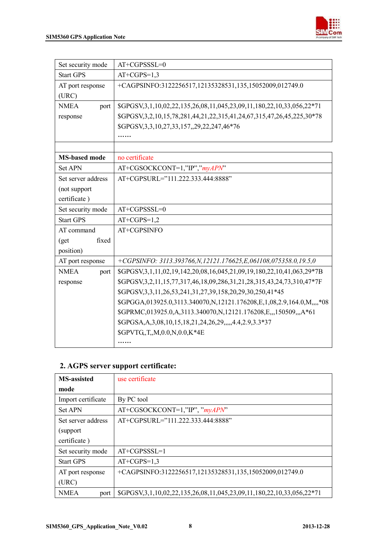

| Set security mode    | AT+CGPSSSL=0                                                                             |
|----------------------|------------------------------------------------------------------------------------------|
| <b>Start GPS</b>     | $AT+CGPS=1,3$                                                                            |
| AT port response     | +CAGPSINFO:3122256517,12135328531,135,15052009,012749.0                                  |
| (URC)                |                                                                                          |
| <b>NMEA</b><br>port  | \$GPGSV, 3, 1, 10, 02, 22, 135, 26, 08, 11, 045, 23, 09, 11, 180, 22, 10, 33, 056, 22*71 |
| response             | \$GPGSV, 3, 2, 10, 15, 78, 281, 44, 21, 22, 315, 41, 24, 67, 315, 47, 26, 45, 225, 30*78 |
|                      | \$GPGSV, 3, 3, 10, 27, 33, 157, 29, 22, 247, 46*76                                       |
|                      |                                                                                          |
|                      |                                                                                          |
| <b>MS-based mode</b> | no certificate                                                                           |
| Set APN              | AT+CGSOCKCONT=1,"IP","myAPN"                                                             |
| Set server address   | AT+CGPSURL="111.222.333.444:8888"                                                        |
| (not support         |                                                                                          |
| certificate)         |                                                                                          |
| Set security mode    | $AT+CGPSSSL=0$                                                                           |
| <b>Start GPS</b>     | $AT+CGPS=1,2$                                                                            |
| AT command           | AT+CGPSINFO                                                                              |
| fixed<br>$6$         |                                                                                          |
| position)            |                                                                                          |
| AT port response     | +CGPSINFO: 3113.393766, N, 12121.176625, E, 061108, 075358.0, 19.5, 0                    |
| <b>NMEA</b><br>port  | \$GPGSV, 3, 1, 11, 02, 19, 142, 20, 08, 16, 045, 21, 09, 19, 180, 22, 10, 41, 063, 29*7B |
| response             | \$GPGSV, 3, 2, 11, 15, 77, 317, 46, 18, 09, 286, 31, 21, 28, 315, 43, 24, 73, 310, 47*7F |
|                      | \$GPGSV, 3, 3, 11, 26, 53, 241, 31, 27, 39, 158, 20, 29, 30, 250, 41*45                  |
|                      | \$GPGGA,013925.0,3113.340070,N,12121.176208,E,1,08,2.9,164.0,M,,,,*08                    |
|                      | \$GPRMC,013925.0,A,3113.340070,N,12121.176208,E,,,150509,,,A*61                          |
|                      | \$GPGSA, A, 3, 08, 10, 15, 18, 21, 24, 26, 29, , 4.4, 2.9, 3.3*37                        |
|                      | \$GPVTG, T, M, 0.0, N, 0.0, K*4E                                                         |
|                      |                                                                                          |

### **2. AGPS server support certificate:**

| <b>MS-assisted</b>  | use certificate                                                                          |
|---------------------|------------------------------------------------------------------------------------------|
| mode                |                                                                                          |
| Import certificate  | By PC tool                                                                               |
| <b>Set APN</b>      | AT+CGSOCKCONT=1,"IP", "myAPN"                                                            |
| Set server address  | $AT+CGPSURE = "111.222.333.444.8888"$                                                    |
| (support)           |                                                                                          |
| certificate)        |                                                                                          |
| Set security mode   | $AT+CGPSSSL=1$                                                                           |
| <b>Start GPS</b>    | $AT+CGPS=1,3$                                                                            |
| AT port response    | +CAGPSINFO:3122256517,12135328531,135,15052009,012749.0                                  |
| (URC)               |                                                                                          |
| <b>NMEA</b><br>port | \$GPGSV, 3, 1, 10, 02, 22, 135, 26, 08, 11, 045, 23, 09, 11, 180, 22, 10, 33, 056, 22*71 |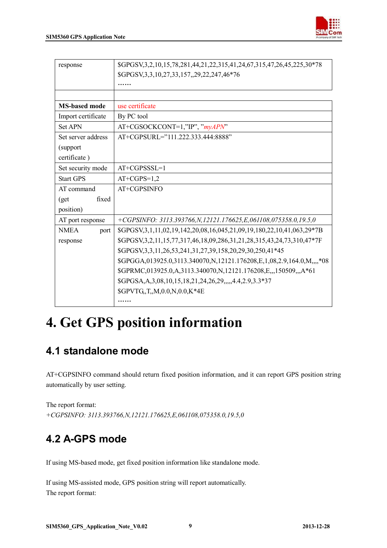

| response              | \$GPGSV, 3, 2, 10, 15, 78, 281, 44, 21, 22, 315, 41, 24, 67, 315, 47, 26, 45, 225, 30*78 |
|-----------------------|------------------------------------------------------------------------------------------|
|                       | \$GPGSV, 3, 3, 10, 27, 33, 157, 29, 22, 247, 46*76                                       |
|                       |                                                                                          |
|                       |                                                                                          |
| <b>MS-based mode</b>  | use certificate                                                                          |
| Import certificate    | By PC tool                                                                               |
| <b>Set APN</b>        | AT+CGSOCKCONT=1,"IP", "myAPN"                                                            |
| Set server address    | AT+CGPSURL="111.222.333.444:8888"                                                        |
| (support              |                                                                                          |
| certificate)          |                                                                                          |
| Set security mode     | $AT+CGPSSSL=1$                                                                           |
| <b>Start GPS</b>      | $AT+CGPS=1,2$                                                                            |
| AT command            | AT+CGPSINFO                                                                              |
| fixed<br>$\left($ get |                                                                                          |
| position)             |                                                                                          |
| AT port response      | +CGPSINFO: 3113.393766, N, 12121.176625, E, 061108, 075358.0, 19.5, 0                    |
| <b>NMEA</b><br>port   | \$GPGSV, 3, 1, 11, 02, 19, 142, 20, 08, 16, 045, 21, 09, 19, 180, 22, 10, 41, 063, 29*7B |
| response              | \$GPGSV, 3, 2, 11, 15, 77, 317, 46, 18, 09, 286, 31, 21, 28, 315, 43, 24, 73, 310, 47*7F |
|                       | \$GPGSV, 3, 3, 11, 26, 53, 241, 31, 27, 39, 158, 20, 29, 30, 250, 41*45                  |
|                       | \$GPGGA,013925.0,3113.340070, N,12121.176208, E,1,08, 2.9, 164.0, M,  * 08               |
|                       | \$GPRMC,013925.0,A,3113.340070,N,12121.176208,E,,,150509,,,A*61                          |
|                       | \$GPGSA, A, 3, 08, 10, 15, 18, 21, 24, 26, 29, , 4.4, 2.9, 3.3*37                        |
|                       | \$GPVTG, T, M, 0.0, N, 0.0, K*4E                                                         |
|                       |                                                                                          |

## **4. Get GPS position information**

## **4.1 standalone mode**

AT+CGPSINFO command should return fixed position information, and it can report GPS position string automatically by user setting.

```
The report format: 
+CGPSINFO: 3113.393766,N,12121.176625,E,061108,075358.0,19.5,0
```
## **4.2 A-GPS mode**

If using MS-based mode, get fixed position information like standalone mode.

If using MS-assisted mode, GPS position string will report automatically. The report format: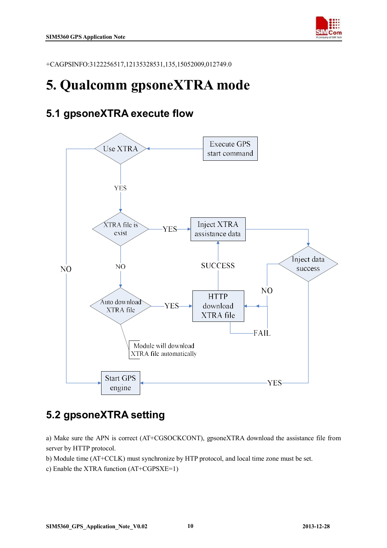

+CAGPSINFO:3122256517,12135328531,135,15052009,012749.0

## **5. Qualcomm gpsoneXTRA mode**

### **5.1 gpsoneXTRA execute flow**



## **5.2 gpsoneXTRA setting**

a) Make sure the APN is correct (AT+CGSOCKCONT), gpsoneXTRA download the assistance file from server by HTTP protocol.

b) Module time (AT+CCLK) must synchronize by HTP protocol, and local time zone must be set.

c) Enable the XTRA function (AT+CGPSXE=1)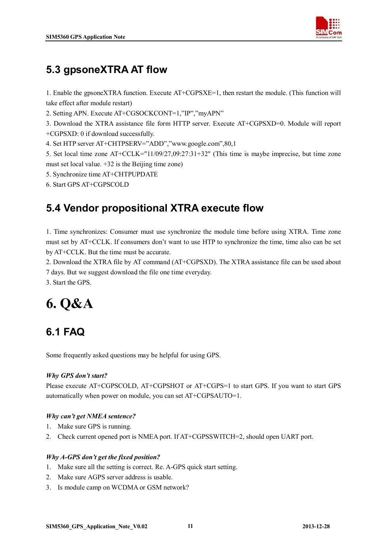

## **5.3 gpsoneXTRA AT flow**

1. Enable the gpsoneXTRA function. Execute AT+CGPSXE=1, then restart the module. (This function will take effect after module restart)

2. Setting APN. Execute AT+CGSOCKCONT=1,"IP","myAPN"

3. Download the XTRA assistance file form HTTP server. Execute AT+CGPSXD=0. Module will report +CGPSXD: 0 if download successfully.

4. Set HTP server AT+CHTPSERV="ADD","www.google.com",80,1

5. Set local time zone AT+CCLK="11/09/27,09:27:31+32" (This time is maybe imprecise, but time zone must set local value. +32 is the Beijing time zone)

- 5. Synchronize time AT+CHTPUPDATE
- 6. Start GPS AT+CGPSCOLD

## **5.4 Vendor propositional XTRA execute flow**

1. Time synchronizes: Consumer must use synchronize the module time before using XTRA. Time zone must set by AT+CCLK. If consumers don't want to use HTP to synchronize the time, time also can be set by AT+CCLK. But the time must be accurate.

2. Download the XTRA file by AT command (AT+CGPSXD). The XTRA assistance file can be used about

7 days. But we suggest download the file one time everyday.

3. Start the GPS.

## **6. Q&A**

## **6.1 FAQ**

Some frequently asked questions may be helpful for using GPS.

### *Why GPS don't start?*

Please execute AT+CGPSCOLD, AT+CGPSHOT or AT+CGPS=1 to start GPS. If you want to start GPS automatically when power on module, you can set AT+CGPSAUTO=1.

### *Why can't get NMEA sentence?*

- 1. Make sure GPS is running.
- 2. Check current opened port is NMEA port. If AT+CGPSSWITCH=2, should open UART port.

### *Why A-GPS don't get the fixed position?*

- 1. Make sure all the setting is correct. Re. A-GPS quick start setting.
- 2. Make sure AGPS server address is usable.
- 3. Is module camp on WCDMA or GSM network?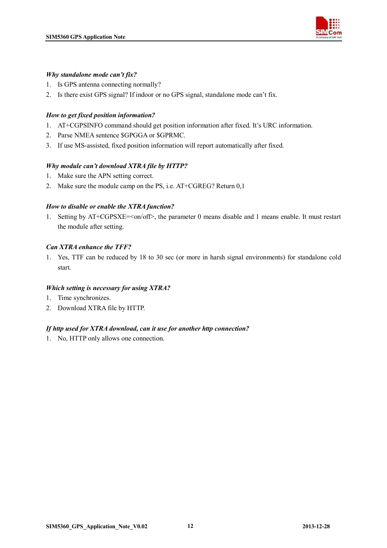

#### *Why standalone mode can't fix?*

- 1. Is GPS antenna connecting normally?
- 2. Is there exist GPS signal? If indoor or no GPS signal, standalone mode can't fix.

#### *How to get fixed position information?*

- 1. AT+CGPSINFO command should get position information after fixed. It's URC information.
- 2. Parse NMEA sentence \$GPGGA or \$GPRMC.
- 3. If use MS-assisted, fixed position information will report automatically after fixed.

### *Why module can't download XTRA file by HTTP?*

- 1. Make sure the APN setting correct.
- 2. Make sure the module camp on the PS, i.e. AT+CGREG? Return 0,1

### *How to disable or enable the XTRA function?*

1. Setting by AT+CGPSXE=<on/off>, the parameter 0 means disable and 1 means enable. It must restart the module after setting.

### *Can XTRA enhance the TFF?*

1. Yes, TTF can be reduced by 18 to 30 sec (or more in harsh signal environments) for standalone cold start.

#### *Which setting is necessary for using XTRA?*

- 1. Time synchronizes.
- 2. Download XTRA file by HTTP.

#### *If http used for XTRA download, can it use for another http connection?*

1. No, HTTP only allows one connection.